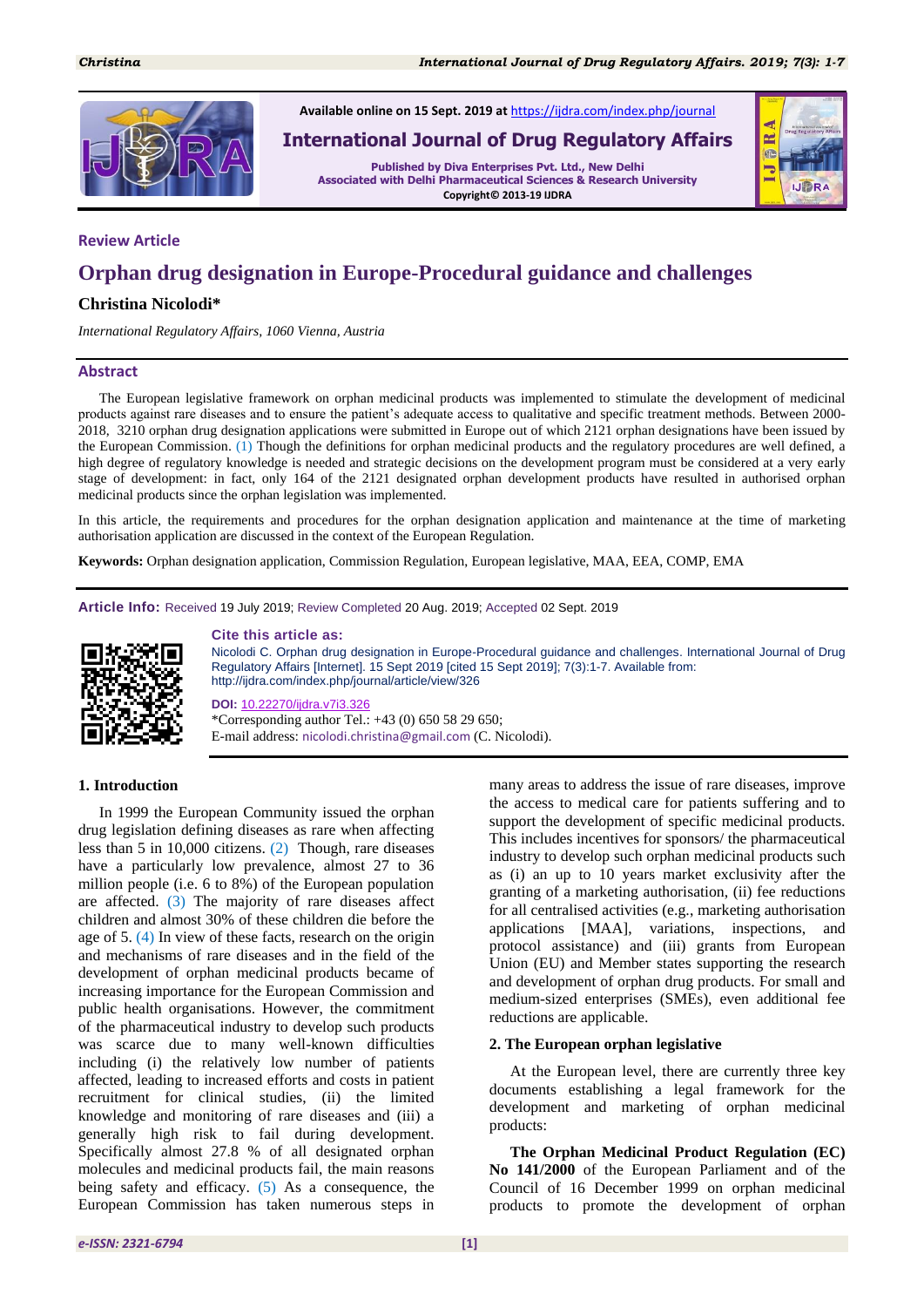

#### **Review Article**

# **Orphan drug designation in Europe-Procedural guidance and challenges**

#### **Christina Nicolodi\***

*International Regulatory Affairs, 1060 Vienna, Austria*

#### **Abstract**

The European legislative framework on orphan medicinal products was implemented to stimulate the development of medicinal products against rare diseases and to ensure the patient"s adequate access to qualitative and specific treatment methods. Between 2000- 2018, 3210 orphan drug designation applications were submitted in Europe out of which 2121 orphan designations have been issued by the European Commission. (1) Though the definitions for orphan medicinal products and the regulatory procedures are well defined, a high degree of regulatory knowledge is needed and strategic decisions on the development program must be considered at a very early stage of development: in fact, only 164 of the 2121 designated orphan development products have resulted in authorised orphan medicinal products since the orphan legislation was implemented.

In this article, the requirements and procedures for the orphan designation application and maintenance at the time of marketing authorisation application are discussed in the context of the European Regulation.

**Keywords:** Orphan designation application, Commission Regulation, European legislative, MAA, EEA, COMP, EMA

**Article Info:** Received 19 July 2019; Review Completed 20 Aug. 2019; Accepted 02 Sept. 2019



#### **Cite this article as:**

Nicolodi C. Orphan drug designation in Europe-Procedural guidance and challenges. International Journal of Drug Regulatory Affairs [Internet]. 15 Sept 2019 [cited 15 Sept 2019]; 7(3):1-7. Available from: http://ijdra.com/index.php/journal/article/view/326

**DOI:** 10.22270/ijdra.v7i3.326 \*Corresponding author Tel.: +43 (0) 650 58 29 650; E-mail address: nicolodi.christina@gmail.com (C. Nicolodi).

#### **1. Introduction**

In 1999 the European Community issued the orphan drug legislation defining diseases as rare when affecting less than 5 in 10,000 citizens. (2) Though, rare diseases have a particularly low prevalence, almost 27 to 36 million people (i.e. 6 to 8%) of the European population are affected. (3) The majority of rare diseases affect children and almost 30% of these children die before the age of 5. (4) In view of these facts, research on the origin and mechanisms of rare diseases and in the field of the development of orphan medicinal products became of increasing importance for the European Commission and public health organisations. However, the commitment of the pharmaceutical industry to develop such products was scarce due to many well-known difficulties including (i) the relatively low number of patients affected, leading to increased efforts and costs in patient recruitment for clinical studies, (ii) the limited knowledge and monitoring of rare diseases and (iii) a generally high risk to fail during development. Specifically almost 27.8 % of all designated orphan molecules and medicinal products fail, the main reasons being safety and efficacy. (5) As a consequence, the European Commission has taken numerous steps in

many areas to address the issue of rare diseases, improve the access to medical care for patients suffering and to support the development of specific medicinal products. This includes incentives for sponsors/ the pharmaceutical industry to develop such orphan medicinal products such as (i) an up to 10 years market exclusivity after the granting of a marketing authorisation, (ii) fee reductions for all centralised activities (e.g., marketing authorisation applications [MAA], variations, inspections, and protocol assistance) and (iii) grants from European Union (EU) and Member states supporting the research and development of orphan drug products. For small and medium-sized enterprises (SMEs), even additional fee reductions are applicable.

#### **2. The European orphan legislative**

At the European level, there are currently three key documents establishing a legal framework for the development and marketing of orphan medicinal products:

**The Orphan Medicinal Product Regulation (EC) No 141/2000** of the European Parliament and of the Council of 16 December 1999 on orphan medicinal products to promote the development of orphan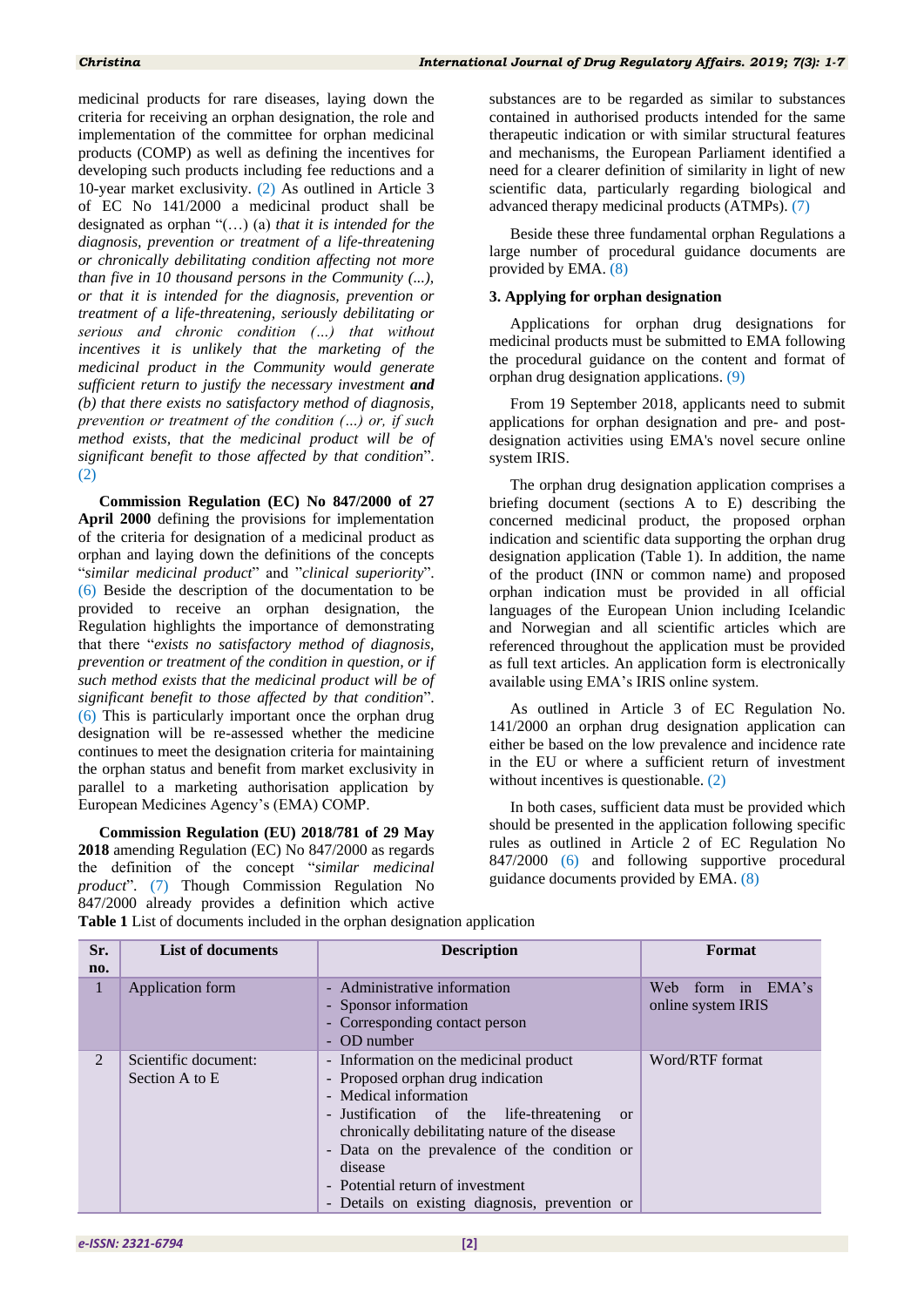medicinal products for rare diseases, laying down the criteria for receiving an orphan designation, the role and implementation of the committee for orphan medicinal products (COMP) as well as defining the incentives for developing such products including fee reductions and a 10-year market exclusivity. (2) As outlined in Article 3 of EC No 141/2000 a medicinal product shall be designated as orphan "(…) (a) *that it is intended for the diagnosis, prevention or treatment of a life-threatening or chronically debilitating condition affecting not more than five in 10 thousand persons in the Community (...), or that it is intended for the diagnosis, prevention or treatment of a life-threatening, seriously debilitating or serious and chronic condition (…) that without incentives it is unlikely that the marketing of the medicinal product in the Community would generate sufficient return to justify the necessary investment and (b) that there exists no satisfactory method of diagnosis, prevention or treatment of the condition (…) or, if such method exists, that the medicinal product will be of significant benefit to those affected by that condition*". (2)

**Commission Regulation (EC) No 847/2000 of 27 April 2000** defining the provisions for implementation of the criteria for designation of a medicinal product as orphan and laying down the definitions of the concepts "*similar medicinal product*" and "*clinical superiority*". (6) Beside the description of the documentation to be provided to receive an orphan designation, the Regulation highlights the importance of demonstrating that there "*exists no satisfactory method of diagnosis, prevention or treatment of the condition in question, or if such method exists that the medicinal product will be of significant benefit to those affected by that condition*". (6) This is particularly important once the orphan drug designation will be re-assessed whether the medicine continues to meet the designation criteria for maintaining the orphan status and benefit from market exclusivity in parallel to a marketing authorisation application by European Medicines Agency"s (EMA) COMP.

**Commission Regulation (EU) 2018/781 of 29 May 2018** amending Regulation (EC) No 847/2000 as regards the definition of the concept "*similar medicinal product*". (7) Though Commission Regulation No 847/2000 already provides a definition which active

substances are to be regarded as similar to substances contained in authorised products intended for the same therapeutic indication or with similar structural features and mechanisms, the European Parliament identified a need for a clearer definition of similarity in light of new scientific data, particularly regarding biological and advanced therapy medicinal products (ATMPs). (7)

Beside these three fundamental orphan Regulations a large number of procedural guidance documents are provided by EMA. (8)

#### **3. Applying for orphan designation**

Applications for orphan drug designations for medicinal products must be submitted to EMA following the procedural guidance on the content and format of orphan drug designation applications. (9)

From 19 September 2018, applicants need to submit applications for orphan designation and pre- and postdesignation activities using EMA's novel secure online system IRIS.

The orphan drug designation application comprises a briefing document (sections A to E) describing the concerned medicinal product, the proposed orphan indication and scientific data supporting the orphan drug designation application (Table 1). In addition, the name of the product (INN or common name) and proposed orphan indication must be provided in all official languages of the European Union including Icelandic and Norwegian and all scientific articles which are referenced throughout the application must be provided as full text articles. An application form is electronically available using EMA"s IRIS online system.

As outlined in Article 3 of EC Regulation No. 141/2000 an orphan drug designation application can either be based on the low prevalence and incidence rate in the EU or where a sufficient return of investment without incentives is questionable. (2)

In both cases, sufficient data must be provided which should be presented in the application following specific rules as outlined in Article 2 of EC Regulation No 847/2000 (6) and following supportive procedural guidance documents provided by EMA. (8)

| Sr. | <b>List of documents</b>               | <b>Description</b>                                                                                                                                                                                                                                                                                                                                                  | Format                                  |
|-----|----------------------------------------|---------------------------------------------------------------------------------------------------------------------------------------------------------------------------------------------------------------------------------------------------------------------------------------------------------------------------------------------------------------------|-----------------------------------------|
| no. |                                        |                                                                                                                                                                                                                                                                                                                                                                     |                                         |
| 1   | Application form                       | - Administrative information<br>- Sponsor information<br>- Corresponding contact person<br>- OD number                                                                                                                                                                                                                                                              | Web form in EMA's<br>online system IRIS |
| 2   | Scientific document:<br>Section A to E | - Information on the medicinal product<br>- Proposed orphan drug indication<br>- Medical information<br>- Justification of the life-threatening<br><sub>or</sub><br>chronically debilitating nature of the disease<br>- Data on the prevalence of the condition or<br>disease<br>- Potential return of investment<br>- Details on existing diagnosis, prevention or | Word/RTF format                         |

**Table 1** List of documents included in the orphan designation application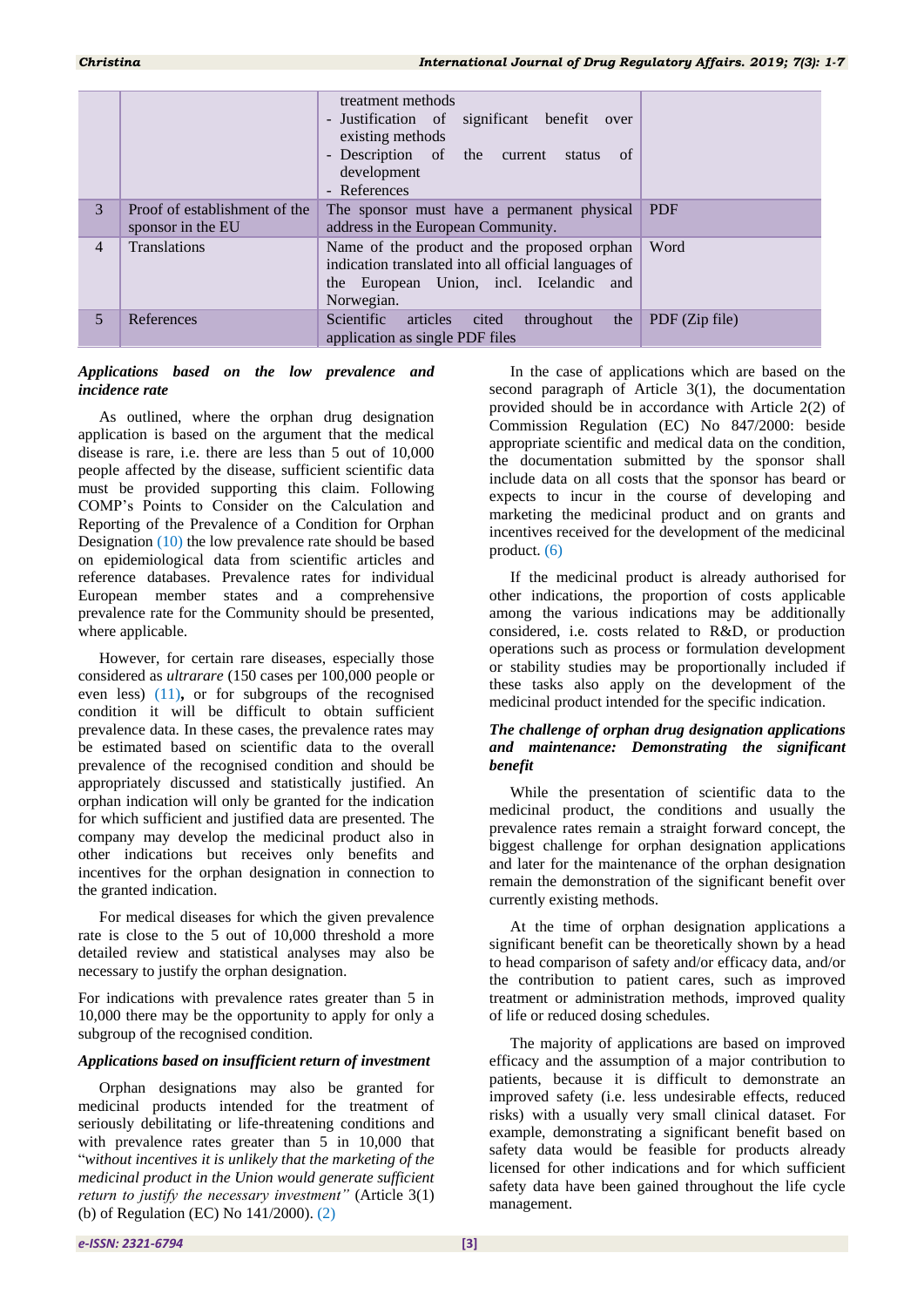|                |                                                    | treatment methods<br>- Justification of significant benefit<br>over<br>existing methods<br>- Description of the current<br>- of<br>status<br>development<br>- References |                |
|----------------|----------------------------------------------------|--------------------------------------------------------------------------------------------------------------------------------------------------------------------------|----------------|
| 3              | Proof of establishment of the<br>sponsor in the EU | The sponsor must have a permanent physical<br>address in the European Community.                                                                                         | <b>PDF</b>     |
| $\overline{4}$ | <b>Translations</b>                                | Name of the product and the proposed orphan<br>indication translated into all official languages of<br>the European Union, incl. Icelandic and<br>Norwegian.             | Word           |
| 5              | References                                         | Scientific<br>articles<br>cited<br>throughout<br>the<br>application as single PDF files                                                                                  | PDF (Zip file) |

# *Applications based on the low prevalence and incidence rate*

As outlined, where the orphan drug designation application is based on the argument that the medical disease is rare, i.e. there are less than 5 out of 10,000 people affected by the disease, sufficient scientific data must be provided supporting this claim. Following COMP"s Points to Consider on the Calculation and Reporting of the Prevalence of a Condition for Orphan Designation (10) the low prevalence rate should be based on epidemiological data from scientific articles and reference databases. Prevalence rates for individual European member states and a comprehensive prevalence rate for the Community should be presented, where applicable.

However, for certain rare diseases, especially those considered as *ultrarare* (150 cases per 100,000 people or even less) (11)**,** or for subgroups of the recognised condition it will be difficult to obtain sufficient prevalence data. In these cases, the prevalence rates may be estimated based on scientific data to the overall prevalence of the recognised condition and should be appropriately discussed and statistically justified. An orphan indication will only be granted for the indication for which sufficient and justified data are presented. The company may develop the medicinal product also in other indications but receives only benefits and incentives for the orphan designation in connection to the granted indication.

For medical diseases for which the given prevalence rate is close to the 5 out of 10,000 threshold a more detailed review and statistical analyses may also be necessary to justify the orphan designation.

For indications with prevalence rates greater than 5 in 10,000 there may be the opportunity to apply for only a subgroup of the recognised condition.

# *Applications based on insufficient return of investment*

Orphan designations may also be granted for medicinal products intended for the treatment of seriously debilitating or life-threatening conditions and with prevalence rates greater than 5 in 10,000 that "*without incentives it is unlikely that the marketing of the medicinal product in the Union would generate sufficient return to justify the necessary investment"* (Article 3(1) (b) of Regulation (EC) No 141/2000). (2)

In the case of applications which are based on the second paragraph of Article 3(1), the documentation provided should be in accordance with Article 2(2) of Commission Regulation (EC) No 847/2000: beside appropriate scientific and medical data on the condition, the documentation submitted by the sponsor shall include data on all costs that the sponsor has beard or expects to incur in the course of developing and marketing the medicinal product and on grants and incentives received for the development of the medicinal product. (6)

If the medicinal product is already authorised for other indications, the proportion of costs applicable among the various indications may be additionally considered, i.e. costs related to R&D, or production operations such as process or formulation development or stability studies may be proportionally included if these tasks also apply on the development of the medicinal product intended for the specific indication.

# *The challenge of orphan drug designation applications and maintenance: Demonstrating the significant benefit*

While the presentation of scientific data to the medicinal product, the conditions and usually the prevalence rates remain a straight forward concept, the biggest challenge for orphan designation applications and later for the maintenance of the orphan designation remain the demonstration of the significant benefit over currently existing methods.

At the time of orphan designation applications a significant benefit can be theoretically shown by a head to head comparison of safety and/or efficacy data, and/or the contribution to patient cares, such as improved treatment or administration methods, improved quality of life or reduced dosing schedules.

The majority of applications are based on improved efficacy and the assumption of a major contribution to patients, because it is difficult to demonstrate an improved safety (i.e. less undesirable effects, reduced risks) with a usually very small clinical dataset. For example, demonstrating a significant benefit based on safety data would be feasible for products already licensed for other indications and for which sufficient safety data have been gained throughout the life cycle management.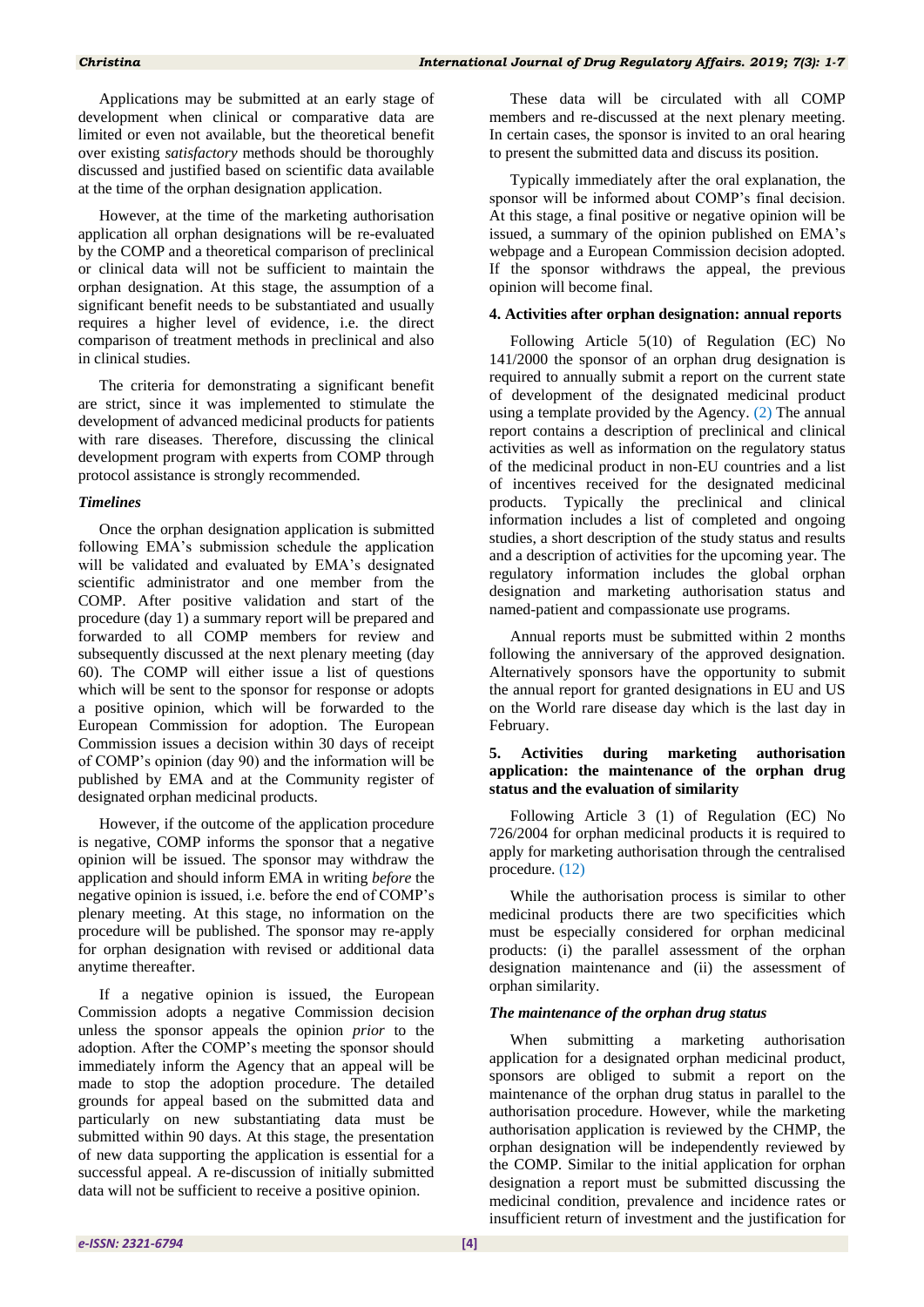Applications may be submitted at an early stage of development when clinical or comparative data are limited or even not available, but the theoretical benefit over existing *satisfactory* methods should be thoroughly discussed and justified based on scientific data available at the time of the orphan designation application.

However, at the time of the marketing authorisation application all orphan designations will be re-evaluated by the COMP and a theoretical comparison of preclinical or clinical data will not be sufficient to maintain the orphan designation. At this stage, the assumption of a significant benefit needs to be substantiated and usually requires a higher level of evidence, i.e. the direct comparison of treatment methods in preclinical and also in clinical studies.

The criteria for demonstrating a significant benefit are strict, since it was implemented to stimulate the development of advanced medicinal products for patients with rare diseases. Therefore, discussing the clinical development program with experts from COMP through protocol assistance is strongly recommended.

# *Timelines*

Once the orphan designation application is submitted following EMA"s submission schedule the application will be validated and evaluated by EMA's designated scientific administrator and one member from the COMP. After positive validation and start of the procedure (day 1) a summary report will be prepared and forwarded to all COMP members for review and subsequently discussed at the next plenary meeting (day 60). The COMP will either issue a list of questions which will be sent to the sponsor for response or adopts a positive opinion, which will be forwarded to the European Commission for adoption. The European Commission issues a decision within 30 days of receipt of COMP"s opinion (day 90) and the information will be published by EMA and at the Community register of designated orphan medicinal products.

However, if the outcome of the application procedure is negative, COMP informs the sponsor that a negative opinion will be issued. The sponsor may withdraw the application and should inform EMA in writing *before* the negative opinion is issued, i.e. before the end of COMP"s plenary meeting. At this stage, no information on the procedure will be published. The sponsor may re-apply for orphan designation with revised or additional data anytime thereafter.

If a negative opinion is issued, the European Commission adopts a negative Commission decision unless the sponsor appeals the opinion *prior* to the adoption. After the COMP"s meeting the sponsor should immediately inform the Agency that an appeal will be made to stop the adoption procedure. The detailed grounds for appeal based on the submitted data and particularly on new substantiating data must be submitted within 90 days. At this stage, the presentation of new data supporting the application is essential for a successful appeal. A re-discussion of initially submitted data will not be sufficient to receive a positive opinion.

These data will be circulated with all COMP members and re-discussed at the next plenary meeting. In certain cases, the sponsor is invited to an oral hearing to present the submitted data and discuss its position.

Typically immediately after the oral explanation, the sponsor will be informed about COMP's final decision. At this stage, a final positive or negative opinion will be issued, a summary of the opinion published on EMA"s webpage and a European Commission decision adopted. If the sponsor withdraws the appeal, the previous opinion will become final.

# **4. Activities after orphan designation: annual reports**

Following Article 5(10) of Regulation (EC) No 141/2000 the sponsor of an orphan drug designation is required to annually submit a report on the current state of development of the designated medicinal product using a template provided by the Agency. (2) The annual report contains a description of preclinical and clinical activities as well as information on the regulatory status of the medicinal product in non-EU countries and a list of incentives received for the designated medicinal products. Typically the preclinical and clinical information includes a list of completed and ongoing studies, a short description of the study status and results and a description of activities for the upcoming year. The regulatory information includes the global orphan designation and marketing authorisation status and named-patient and compassionate use programs.

Annual reports must be submitted within 2 months following the anniversary of the approved designation. Alternatively sponsors have the opportunity to submit the annual report for granted designations in EU and US on the World rare disease day which is the last day in February.

#### **5. Activities during marketing authorisation application: the maintenance of the orphan drug status and the evaluation of similarity**

Following Article 3 (1) of Regulation (EC) No 726/2004 for orphan medicinal products it is required to apply for marketing authorisation through the centralised procedure. (12)

While the authorisation process is similar to other medicinal products there are two specificities which must be especially considered for orphan medicinal products: (i) the parallel assessment of the orphan designation maintenance and (ii) the assessment of orphan similarity.

# *The maintenance of the orphan drug status*

When submitting a marketing authorisation application for a designated orphan medicinal product, sponsors are obliged to submit a report on the maintenance of the orphan drug status in parallel to the authorisation procedure. However, while the marketing authorisation application is reviewed by the CHMP, the orphan designation will be independently reviewed by the COMP. Similar to the initial application for orphan designation a report must be submitted discussing the medicinal condition, prevalence and incidence rates or insufficient return of investment and the justification for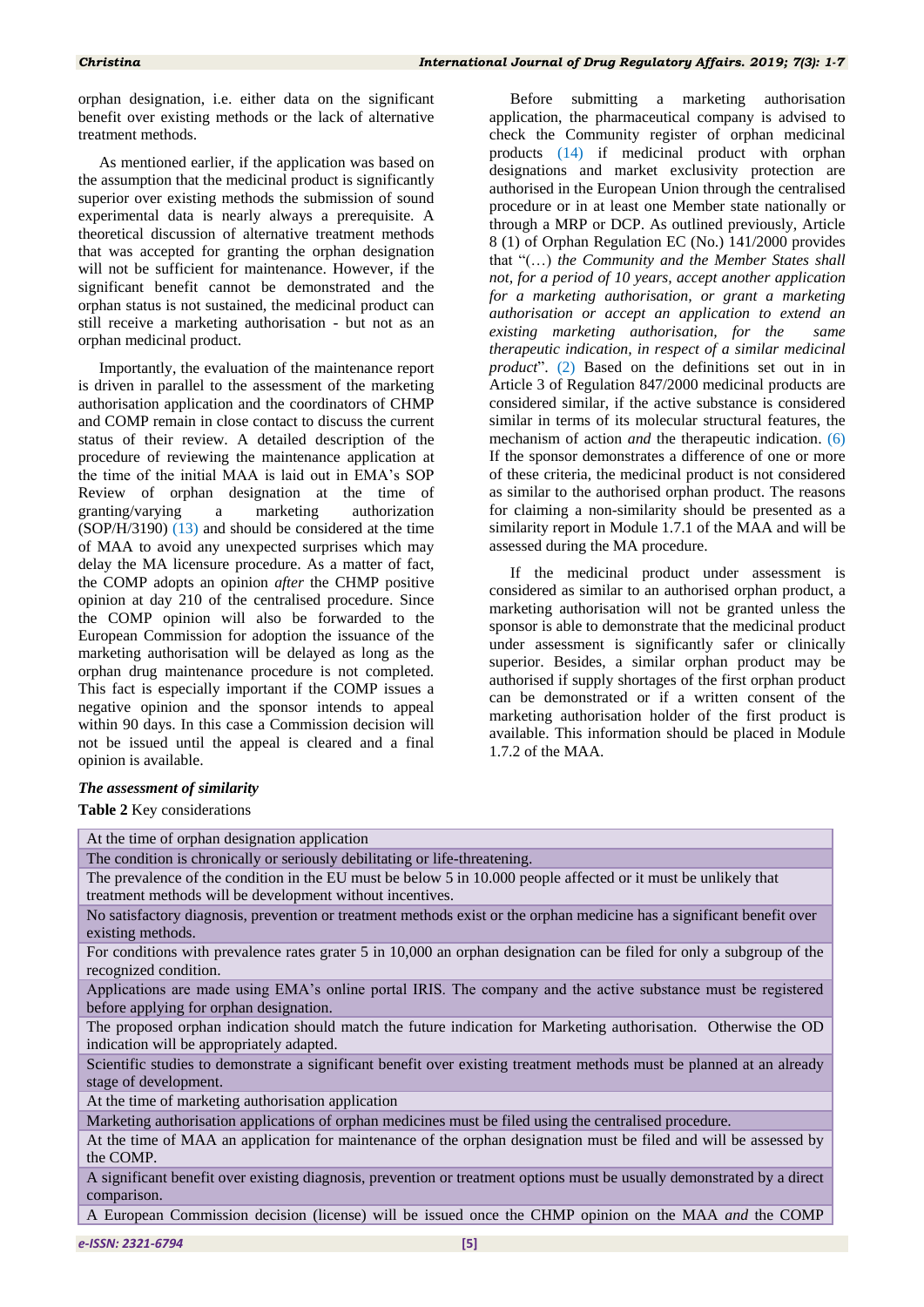orphan designation, i.e. either data on the significant benefit over existing methods or the lack of alternative treatment methods.

As mentioned earlier, if the application was based on the assumption that the medicinal product is significantly superior over existing methods the submission of sound experimental data is nearly always a prerequisite. A theoretical discussion of alternative treatment methods that was accepted for granting the orphan designation will not be sufficient for maintenance. However, if the significant benefit cannot be demonstrated and the orphan status is not sustained, the medicinal product can still receive a marketing authorisation - but not as an orphan medicinal product.

Importantly, the evaluation of the maintenance report is driven in parallel to the assessment of the marketing authorisation application and the coordinators of CHMP and COMP remain in close contact to discuss the current status of their review. A detailed description of the procedure of reviewing the maintenance application at the time of the initial MAA is laid out in EMA"s SOP Review of orphan designation at the time of granting/varying a marketing authorization (SOP/H/3190) (13) and should be considered at the time of MAA to avoid any unexpected surprises which may delay the MA licensure procedure. As a matter of fact, the COMP adopts an opinion *after* the CHMP positive opinion at day 210 of the centralised procedure. Since the COMP opinion will also be forwarded to the European Commission for adoption the issuance of the marketing authorisation will be delayed as long as the orphan drug maintenance procedure is not completed. This fact is especially important if the COMP issues a negative opinion and the sponsor intends to appeal within 90 days. In this case a Commission decision will not be issued until the appeal is cleared and a final opinion is available.

Before submitting a marketing authorisation application, the pharmaceutical company is advised to check the Community register of orphan medicinal products (14) if medicinal product with orphan designations and market exclusivity protection are authorised in the European Union through the centralised procedure or in at least one Member state nationally or through a MRP or DCP. As outlined previously, Article 8 (1) of Orphan Regulation EC (No.) 141/2000 provides that "(…) *the Community and the Member States shall not, for a period of 10 years, accept another application for a marketing authorisation, or grant a marketing authorisation or accept an application to extend an existing marketing authorisation, for the same therapeutic indication, in respect of a similar medicinal product*". (2) Based on the definitions set out in in Article 3 of Regulation 847/2000 medicinal products are considered similar, if the active substance is considered similar in terms of its molecular structural features, the mechanism of action *and* the therapeutic indication. (6) If the sponsor demonstrates a difference of one or more of these criteria, the medicinal product is not considered as similar to the authorised orphan product. The reasons for claiming a non-similarity should be presented as a similarity report in Module 1.7.1 of the MAA and will be assessed during the MA procedure.

If the medicinal product under assessment is considered as similar to an authorised orphan product, a marketing authorisation will not be granted unless the sponsor is able to demonstrate that the medicinal product under assessment is significantly safer or clinically superior. Besides, a similar orphan product may be authorised if supply shortages of the first orphan product can be demonstrated or if a written consent of the marketing authorisation holder of the first product is available. This information should be placed in Module 1.7.2 of the MAA.

# *The assessment of similarity*

**Table 2** Key considerations

At the time of orphan designation application The condition is chronically or seriously debilitating or life-threatening. The prevalence of the condition in the EU must be below 5 in 10.000 people affected or it must be unlikely that treatment methods will be development without incentives. No satisfactory diagnosis, prevention or treatment methods exist or the orphan medicine has a significant benefit over existing methods. For conditions with prevalence rates grater 5 in 10,000 an orphan designation can be filed for only a subgroup of the recognized condition. Applications are made using EMA"s online portal IRIS. The company and the active substance must be registered before applying for orphan designation. The proposed orphan indication should match the future indication for Marketing authorisation. Otherwise the OD indication will be appropriately adapted. Scientific studies to demonstrate a significant benefit over existing treatment methods must be planned at an already stage of development. At the time of marketing authorisation application Marketing authorisation applications of orphan medicines must be filed using the centralised procedure. At the time of MAA an application for maintenance of the orphan designation must be filed and will be assessed by the COMP. A significant benefit over existing diagnosis, prevention or treatment options must be usually demonstrated by a direct comparison. A European Commission decision (license) will be issued once the CHMP opinion on the MAA *and* the COMP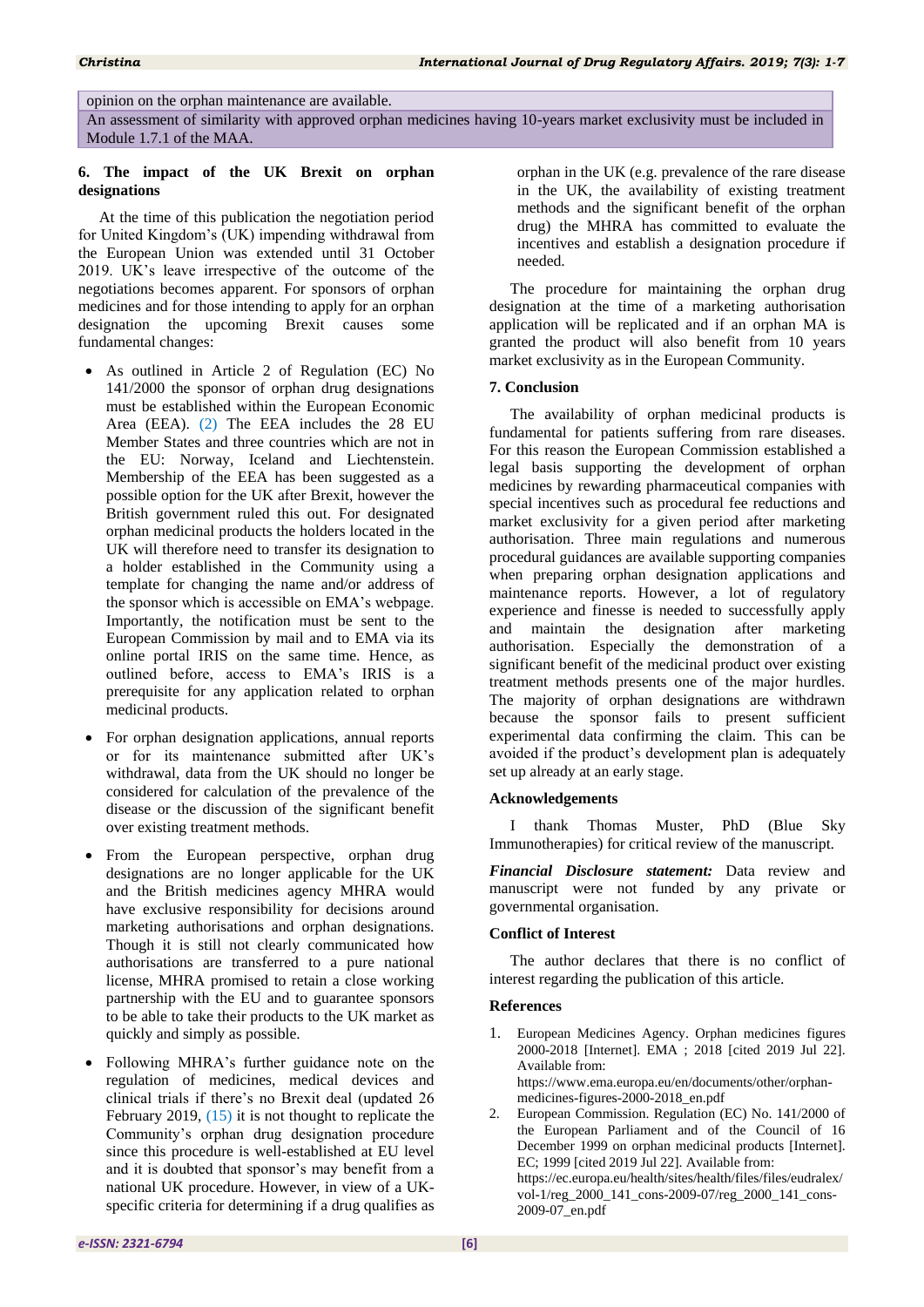opinion on the orphan maintenance are available.

An assessment of similarity with approved orphan medicines having 10-years market exclusivity must be included in Module 1.7.1 of the MAA.

# **6. The impact of the UK Brexit on orphan designations**

At the time of this publication the negotiation period for United Kingdom"s (UK) impending withdrawal from the European Union was extended until 31 October 2019. UK"s leave irrespective of the outcome of the negotiations becomes apparent. For sponsors of orphan medicines and for those intending to apply for an orphan designation the upcoming Brexit causes some fundamental changes:

- As outlined in Article 2 of Regulation (EC) No 141/2000 the sponsor of orphan drug designations must be established within the European Economic Area (EEA). (2) The EEA includes the 28 EU Member States and three countries which are not in the EU: Norway, Iceland and Liechtenstein. Membership of the EEA has been suggested as a possible option for the UK after Brexit, however the British government ruled this out. For designated orphan medicinal products the holders located in the UK will therefore need to transfer its designation to a holder established in the Community using a template for changing the name and/or address of the sponsor which is accessible on EMA's webpage. Importantly, the notification must be sent to the European Commission by mail and to EMA via its online portal IRIS on the same time. Hence, as outlined before, access to EMA"s IRIS is a prerequisite for any application related to orphan medicinal products.
- For orphan designation applications, annual reports or for its maintenance submitted after UK"s withdrawal, data from the UK should no longer be considered for calculation of the prevalence of the disease or the discussion of the significant benefit over existing treatment methods.
- From the European perspective, orphan drug designations are no longer applicable for the UK and the British medicines agency MHRA would have exclusive responsibility for decisions around marketing authorisations and orphan designations. Though it is still not clearly communicated how authorisations are transferred to a pure national license, MHRA promised to retain a close working partnership with the EU and to guarantee sponsors to be able to take their products to the UK market as quickly and simply as possible.
- Following MHRA"s further guidance note on the regulation of medicines, medical devices and clinical trials if there"s no Brexit deal (updated 26 February 2019, (15) it is not thought to replicate the Community"s orphan drug designation procedure since this procedure is well-established at EU level and it is doubted that sponsor"s may benefit from a national UK procedure. However, in view of a UKspecific criteria for determining if a drug qualifies as

orphan in the UK (e.g. prevalence of the rare disease in the UK, the availability of existing treatment methods and the significant benefit of the orphan drug) the MHRA has committed to evaluate the incentives and establish a designation procedure if needed.

The procedure for maintaining the orphan drug designation at the time of a marketing authorisation application will be replicated and if an orphan MA is granted the product will also benefit from 10 years market exclusivity as in the European Community.

# **7. Conclusion**

The availability of orphan medicinal products is fundamental for patients suffering from rare diseases. For this reason the European Commission established a legal basis supporting the development of orphan medicines by rewarding pharmaceutical companies with special incentives such as procedural fee reductions and market exclusivity for a given period after marketing authorisation. Three main regulations and numerous procedural guidances are available supporting companies when preparing orphan designation applications and maintenance reports. However, a lot of regulatory experience and finesse is needed to successfully apply and maintain the designation after marketing authorisation. Especially the demonstration of a significant benefit of the medicinal product over existing treatment methods presents one of the major hurdles. The majority of orphan designations are withdrawn because the sponsor fails to present sufficient experimental data confirming the claim. This can be avoided if the product's development plan is adequately set up already at an early stage.

# **Acknowledgements**

I thank Thomas Muster, PhD (Blue Sky Immunotherapies) for critical review of the manuscript.

*Financial Disclosure statement:* Data review and manuscript were not funded by any private or governmental organisation.

# **Conflict of Interest**

The author declares that there is no conflict of interest regarding the publication of this article.

# **References**

- 1. European Medicines Agency. Orphan medicines figures 2000-2018 [Internet]. EMA ; 2018 [cited 2019 Jul 22]. Available from: https://www.ema.europa.eu/en/documents/other/orphanmedicines-figures-2000-2018\_en.pdf
- 2. European Commission. Regulation (EC) No. 141/2000 of the European Parliament and of the Council of 16 December 1999 on orphan medicinal products [Internet]. EC; 1999 [cited 2019 Jul 22]. Available from: https://ec.europa.eu/health/sites/health/files/files/eudralex/ vol-1/reg\_2000\_141\_cons-2009-07/reg\_2000\_141\_cons-2009-07\_en.pdf